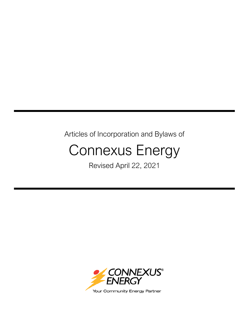# Articles of Incorporation and Bylaws of

# Connexus Energy

Revised April 22, 2021

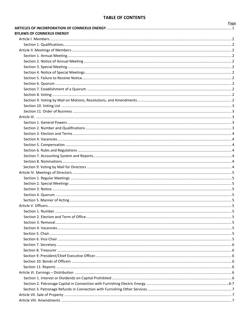# **TABLE OF CONTENTS**

| <b>BYLAWS OF CONNEXUS ENERGY</b> |  |
|----------------------------------|--|
|                                  |  |
|                                  |  |
|                                  |  |
|                                  |  |
|                                  |  |
|                                  |  |
|                                  |  |
|                                  |  |
|                                  |  |
|                                  |  |
|                                  |  |
|                                  |  |
|                                  |  |
|                                  |  |
|                                  |  |
|                                  |  |
|                                  |  |
|                                  |  |
|                                  |  |
|                                  |  |
|                                  |  |
|                                  |  |
|                                  |  |
|                                  |  |
|                                  |  |
|                                  |  |
|                                  |  |
|                                  |  |
|                                  |  |
|                                  |  |
|                                  |  |
|                                  |  |
|                                  |  |
|                                  |  |
|                                  |  |
|                                  |  |
|                                  |  |
|                                  |  |
|                                  |  |
|                                  |  |
|                                  |  |
|                                  |  |
|                                  |  |
|                                  |  |
|                                  |  |
|                                  |  |
|                                  |  |
|                                  |  |

Page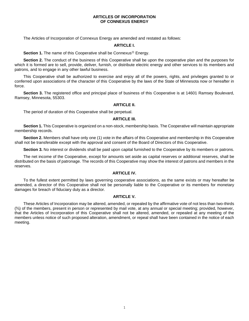# **ARTICLES OF INCORPORATION OF CONNEXUS ENERGY**

The Articles of Incorporation of Connexus Energy are amended and restated as follows:

#### **ARTICLE I.**

**Section 1.** The name of this Cooperative shall be Connexus<sup>®</sup> Energy.

**Section 2.** The conduct of the business of this Cooperative shall be upon the cooperative plan and the purposes for which it is formed are to sell, provide, deliver, furnish, or distribute electric energy and other services to its members and patrons, and to engage in any other lawful business.

This Cooperative shall be authorized to exercise and enjoy all of the powers, rights, and privileges granted to or conferred upon associations of the character of this Cooperative by the laws of the State of Minnesota now or hereafter in force.

**Section 3.** The registered office and principal place of business of this Cooperative is at 14601 Ramsey Boulevard, Ramsey, Minnesota, 55303.

# **ARTICLE II.**

The period of duration of this Cooperative shall be perpetual.

#### **ARTICLE III.**

**Section 1.** This Cooperative is organized on a non-stock, membership basis. The Cooperative will maintain appropriate membership records.

**Section 2.** Members shall have only one (1) vote in the affairs of this Cooperative and membership in this Cooperative shall not be transferable except with the approval and consent of the Board of Directors of this Cooperative.

**Section 3.** No interest or dividends shall be paid upon capital furnished to the Cooperative by its members or patrons.

The net income of the Cooperative, except for amounts set aside as capital reserves or additional reserves, shall be distributed on the basis of patronage. The records of this Cooperative may show the interest of patrons and members in the reserves.

# **ARTICLE IV.**

To the fullest extent permitted by laws governing cooperative associations, as the same exists or may hereafter be amended, a director of this Cooperative shall not be personally liable to the Cooperative or its members for monetary damages for breach of fiduciary duty as a director.

# **ARTICLE V.**

These Articles of Incorporation may be altered, amended, or repealed by the affirmative vote of not less than two-thirds (⅔) of the members, present in person or represented by mail vote, at any annual or special meeting; provided, however, that the Articles of Incorporation of this Cooperative shall not be altered, amended, or repealed at any meeting of the members unless notice of such proposed alteration, amendment, or repeal shall have been contained in the notice of each meeting.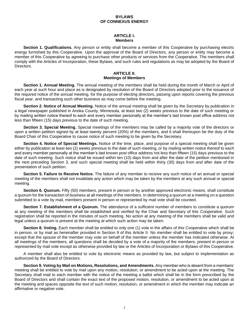# **BYLAWS OF CONNEXUS ENERGY**

# **ARTICLE I. Members**

**Section 1. Qualifications.** Any person or entity shall become a member of this Cooperative by purchasing electric energy furnished by this Cooperative. Upon the approval of the Board of Directors, any person or entity may become a member of this Cooperative by agreeing to purchase other products or services from the Cooperative. The members shall comply with the Articles of Incorporation, these Bylaws, and such rules and regulations as may be adopted by the Board of Directors.

# **ARTICLE II. Meetings of Members**

**Section 1. Annual Meeting.** The annual meeting of the members shall be held during the month of March or April of each year at such hour and place as is designated by resolution of the Board of Directors adopted prior to the issuance of the required notice of the annual meeting, for the purpose of electing directors, passing upon reports covering the previous fiscal year, and transacting such other business as may come before the meeting.

**Section 2. Notice of Annual Meeting.** Notice of the annual meeting shall be given by the Secretary by publication in a legal newspaper published in Anoka County, Minnesota, at least two (2) weeks previous to the date of such meeting or by mailing written notice thereof to each and every member personally at the member's last known post office address not less than fifteen (15) days previous to the date of such meeting.

**Section 3. Special Meeting.** Special meetings of the members may be called by a majority vote of the directors or upon a written petition signed by at least twenty percent (20%) of the members, and it shall thereupon be the duty of the Board Chair of this Cooperative to cause notice of such meeting to be given by the Secretary.

**Section 4. Notice of Special Meetings.** Notice of the time, place, and purpose of a special meeting shall be given either by publication at least two (2) weeks previous to the date of such meeting, or by mailing written notice thereof to each and every member personally at the member's last known post office address not less than fifteen (15) days previous to the date of such meeting. Such notice shall be issued within ten (10) days from and after the date of the petition mentioned in the next preceding Section 3, and such special meeting shall be held within thirty (30) days from and after date of the presentation of such petition.

**Section 5. Failure to Receive Notice.** The failure of any member to receive any such notice of an annual or special meeting of the members shall not invalidate any action which may be taken by the members at any such annual or special meeting.

**Section 6. Quorum.** Fifty (50) members, present in person or by another approved electronic means, shall constitute a quorum for the transaction of business at all meetings of the members. In determining a quorum at a meeting on a question submitted to a vote by mail, members present in person or represented by mail vote shall be counted.

**Section 7. Establishment of a Quorum.** The attendance of a sufficient number of members to constitute a quorum at any meeting of the members shall be established and verified by the Chair and Secretary of this Cooperative. Such registration shall be reported in the minutes of such meeting. No action at any meeting of the members shall be valid and legal unless a quorum is present at the meeting at which such action may be taken.

**Section 8. Voting.** Each member shall be entitled to only one (1) vote in the affairs of this Cooperative which shall be in person, or by mail as hereinafter provided in Section 9 of this Article II. No member shall be entitled to vote by proxy; except that the spouse of the member may vote on behalf of the member unless the member has indicated otherwise. At all meetings of the members, all questions shall be decided by a vote of a majority of the members, present in person or represented by mail vote except as otherwise provided by law or the Articles of Incorporation or Bylaws of this Cooperative.

A member shall also be entitled to vote by electronic means as provided by law, but subject to implementation as authorized by the Board of Directors.

**Section 9. Voting by Mail on Motions, Resolutions, and Amendments.** Any member who is absent from a members' meeting shall be entitled to vote by mail upon any motion, resolution, or amendment to be acted upon at the meeting. The Secretary shall mail to each member with the notice of the meeting a ballot which shall be in the form prescribed by the Board of Directors and shall contain the exact text of the proposed motion, resolution, or amendment to be acted upon at the meeting and spaces opposite the text of such motion, resolution, or amendment in which the member may indicate an affirmative or negative vote.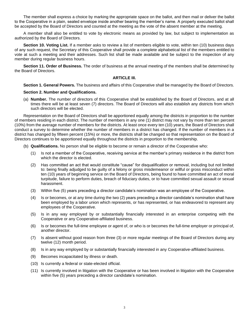The member shall express a choice by marking the appropriate space on the ballot, and then mail or deliver the ballot to the Cooperative in a plain, sealed envelope inside another bearing the member's name. A properly executed ballot shall be accepted by the Board of Directors and counted at the meeting as the vote of the absent member at the meeting.

A member shall also be entitled to vote by electronic means as provided by law, but subject to implementation as authorized by the Board of Directors.

**Section 10. Voting List.** If a member asks to review a list of members eligible to vote, within ten (10) business days of any such request, the Secretary of this Cooperative shall provide a complete alphabetical list of the members entitled to vote at such a meeting and their addresses. Such list shall be made available and be subject to the inspection of any member during regular business hours.

**Section 11. Order of Business.** The order of business at the annual meeting of the members shall be determined by the Board of Directors.

# **ARTICLE III.**

**Section 1. General Powers.** The business and affairs of this Cooperative shall be managed by the Board of Directors.

# **Section 2. Number and Qualifications.**

(a) **Number.** The number of directors of this Cooperative shall be established by the Board of Directors, and at all times there will be at least seven (7) directors. The Board of Directors will also establish any districts from which such directors will be elected.

Representation on the Board of Directors shall be apportioned equally among the districts in proportion to the number of members residing in each district. The number of members in any one (1) district may not vary by more than ten percent (10%) from the average number of members for the districts. At least once every ten (10) years, the Board of Directors shall conduct a survey to determine whether the number of members in a district has changed. If the number of members in a district has changed by fifteen percent (15%) or more, the districts shall be changed so that representation on the Board of Directors continues to be apportioned equally throughout the districts in proportion to the membership.

- (b) **Qualifications.** No person shall be eligible to become or remain a director of the Cooperative who:
	- (1) Is not a member of the Cooperative, receiving service at the member's primary residence in the district from which the director is elected.
	- (2) Has committed an act that would constitute "cause" for disqualification or removal, including but not limited to: being finally adjudged to be guilty of a felony or gross misdemeanor or willful or gross misconduct within ten (10) years of beginning service on the Board of Directors, being found to have committed an act of moral turpitude, failure to perform duties, breach of fiduciary duties, or to have committed sexual assault or sexual harassment.
	- (3) Within five (5) years preceding a director candidate's nomination was an employee of the Cooperative.
	- (4) Is or becomes, or at any time during the two (2) years preceding a director candidate's nomination shall have been employed by a labor union which represents, or has represented, or has endeavored to represent any employees of the Cooperative.
	- (5) Is in any way employed by or substantially financially interested in an enterprise competing with the Cooperative or any Cooperative-affiliated business.
	- (6) Is or becomes the full-time employee or agent of, or who is or becomes the full-time employer or principal of, another director.
	- (7) Is absent without good reason from three (3) or more regular meetings of the Board of Directors during any twelve (12) month period.
	- (8) Is in any way employed by or substantially financially interested in any Cooperative-affiliated business.
	- (9) Becomes incapacitated by illness or death.
	- (10) Is currently a federal or state-elected official.
	- (11) Is currently involved in litigation with the Cooperative or has been involved in litigation with the Cooperative within five (5) years preceding a director candidate's nomination.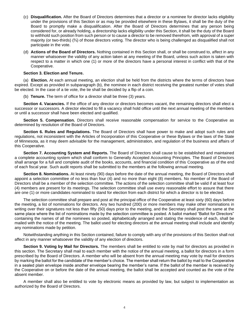- (c) **Disqualification.** After the Board of Directors determines that a director or a nominee for director lacks eligibility under the provisions of this Section or as may be provided elsewhere in these Bylaws, it shall be the duty of the Board to promptly make a disqualification. After the Board of Directors determines that any person being considered for, or already holding, a directorship lacks eligibility under this Section, it shall be the duty of the Board to withhold such position from such person or to cause a director to be removed therefrom, with approval of a super majority (or two-thirds) (⅔) of those directors voting. The director who is being challenged as disqualified shall not participate in the vote.
- (d) **Actions of the Board of Directors.** Nothing contained in this Section shall, or shall be construed to, affect in any manner whatsoever the validity of any action taken at any meeting of the Board, unless such action is taken with respect to a matter in which one (1) or more of the directors have a personal interest in conflict with that of the Cooperative.

# **Section 3. Election and Tenure.**

(a) **Election.** At each annual meeting, an election shall be held from the districts where the terms of directors have expired. Except as provided in subparagraph (b), the nominee in each district receiving the greatest number of votes shall be elected. In the case of a tie vote, the tie shall be decided by a flip of a coin.

(b) **Tenure.** The term of office for a director shall be three (3) years.

**Section 4. Vacancies.** If the office of any director or directors becomes vacant, the remaining directors shall elect a successor or successors. A director elected to fill a vacancy shall hold office until the next annual meeting of the members or until a successor shall have been elected and qualified.

**Section 5. Compensation.** Directors shall receive reasonable compensation for service to the Cooperative as determined by resolution of the Board of Directors.

**Section 6. Rules and Regulations.** The Board of Directors shall have power to make and adopt such rules and regulations, not inconsistent with the Articles of Incorporation of this Cooperative or these Bylaws or the laws of the State of Minnesota, as it may deem advisable for the management, administration, and regulation of the business and affairs of this Cooperative.

**Section 7. Accounting System and Reports.** The Board of Directors shall cause to be established and maintained a complete accounting system which shall conform to Generally Accepted Accounting Principles. The Board of Directors shall arrange for a full and complete audit of the books, accounts, and financial condition of this Cooperative as of the end of each fiscal year. Such audit reports shall be submitted to the members at the following annual meeting.

**Section 8. Nominations.** At least ninety (90) days before the date of the annual meeting, the Board of Directors shall appoint a selection committee of no less than four (4) and no more than eight (8) members. No member of the Board of Directors shall be a member of the selection committee. The actions of the selection committee shall be valid if at least four (4) members are present for its meetings. The selection committee shall use every reasonable effort to assure that there are one (1) or more candidates nominated to stand for election from each district for which a director is to be elected.

The selection committee shall prepare and post at the principal office of the Cooperative at least sixty (60) days before the meeting, a list of nominations for directors. Any two hundred (200) or more members may make other nominations in writing over their signatures not less than fifty (50) days prior to the meeting, and the Secretary shall post the same at the same place where the list of nominations made by the selection committee is posted. A ballot marked "Ballot for Directors" containing the names of all the nominees so posted, alphabetically arranged and stating the residence of each, shall be mailed with the notice of the meeting. The ballot used for electing directors at the annual meeting shall include and identify any nominations made by petition.

Notwithstanding anything in this Section contained, failure to comply with any of the provisions of this Section shall not affect in any manner whatsoever the validity of any election of directors.

**Section 9. Voting by Mail for Directors.** The members shall be entitled to vote by mail for directors as provided in this section. The Secretary shall mail to each member with the notice of the annual meeting, a ballot for directors in a form prescribed by the Board of Directors. A member who will be absent from the annual meeting may vote by mail for directors by marking the ballot for the candidate of the member's choice. The member shall return the ballot by mail to the Cooperative in a sealed plain envelope inside another envelope bearing the member's name. If the ballot of the member is received by the Cooperative on or before the date of the annual meeting, the ballot shall be accepted and counted as the vote of the absent member.

A member shall also be entitled to vote by electronic means as provided by law, but subject to implementation as authorized by the Board of Directors.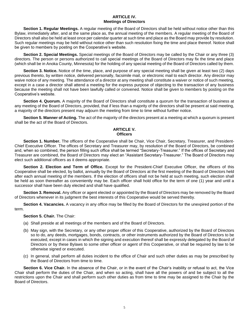# **ARTICLE IV. Meetings of Directors**

**Section 1. Regular Meetings.** A regular meeting of the Board of Directors shall be held without notice other than this Bylaw, immediately after, and at the same place as, the annual meeting of the members. A regular meeting of the Board of Directors shall also be held at least once per calendar quarter at such time and place as the Board may provide by resolution. Such regular meetings may be held without notice other than such resolution fixing the time and place thereof. Notice shall be given to members by posting on the Cooperative's website.

**Section 2. Special Meetings.** Special meetings of the Board of Directors may be called by the Chair or any three (3) directors. The person or persons authorized to call special meetings of the Board of Directors may fix the time and place (which shall be in Anoka County, Minnesota) for the holding of any special meeting of the Board of Directors called by them.

**Section 3. Notice.** Notice of the time, place, and purpose of any special meeting shall be given at least two (2) days previous thereto, by written notice, delivered personally, facsimile mail, or electronic mail to each director. Any director may waive notice of any meeting. The attendance of a director at any meeting shall constitute a waiver or notice of such meeting, except in a case a director shall attend a meeting for the express purpose of objecting to the transaction of any business because the meeting shall not have been lawfully called or convened. Notice shall be given to members by posting on the Cooperative's website.

**Section 4. Quorum.** A majority of the Board of Directors shall constitute a quorum for the transaction of business at any meeting of the Board of Directors, provided, that if less than a majority of the directors shall be present at said meeting, a majority of the directors present may adjourn the meeting from time to time without further notice.

**Section 5. Manner of Acting.** The act of the majority of the directors present at a meeting at which a quorum is present shall be the act of the Board of Directors.

# **ARTICLE V. Officers**

**Section 1. Number.** The officers of the Cooperative shall be Chair, Vice Chair, Secretary, Treasurer, and President-Chief Executive Officer. The offices of Secretary and Treasurer may, by resolution of the Board of Directors, be combined and, when so combined, the person filling such office shall be termed "Secretary-Treasurer." If the offices of Secretary and Treasurer are combined, the Board of Directors may elect an "Assistant Secretary-Treasurer." The Board of Directors may elect such additional officers as it deems appropriate.

**Section 2. Election and Term of Office.** Except for the President-Chief Executive Officer, the officers of this Cooperative shall be elected, by ballot, annually by the Board of Directors at the first meeting of the Board of Directors held after each annual meeting of the members. If the election of officers shall not be held at such meeting, such election shall be held as soon thereafter as conveniently may be. Each officer shall hold office for the term of one (1) year and until a successor shall have been duly elected and shall have qualified.

**Section 3. Removal.** Any officer or agent elected or appointed by the Board of Directors may be removed by the Board of Directors whenever in its judgment the best interests of this Cooperative would be served thereby.

**Section 4. Vacancies.** A vacancy in any office may be filled by the Board of Directors for the unexpired portion of the term.

**Section 5. Chair.** The Chair:

- (a) Shall preside at all meetings of the members and of the Board of Directors.
- (b) May sign, with the Secretary, or any other proper officer of this Cooperative, authorized by the Board of Directors so to do, any deeds, mortgages, bonds, contracts, or other instruments authorized by the Board of Directors to be executed, except in cases in which the signing and execution thereof shall be expressly delegated by the Board of Directors or by these Bylaws to some other officer or agent of this Cooperative, or shall be required by law to be otherwise signed or executed.
- (c) In general, shall perform all duties incident to the office of Chair and such other duties as may be prescribed by the Board of Directors from time to time.

**Section 6. Vice Chair.** In the absence of the Chair, or in the event of the Chair's inability or refusal to act, the Vice Chair shall perform the duties of the Chair, and when so acting, shall have all the powers of and be subject to all the restrictions upon the Chair and shall perform such other duties as from time to time may be assigned to the Chair by the Board of Directors.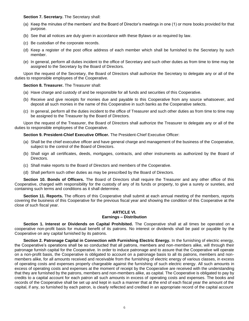**Section 7. Secretary.** The Secretary shall:

- (a) Keep the minutes of the members' and the Board of Director's meetings in one (1) or more books provided for that purpose.
- (b) See that all notices are duly given in accordance with these Bylaws or as required by law.
- (c) Be custodian of the corporate records.
- (d) Keep a register of the post office address of each member which shall be furnished to the Secretary by such member.
- (e) In general, perform all duties incident to the office of Secretary and such other duties as from time to time may be assigned to the Secretary by the Board of Directors.

Upon the request of the Secretary, the Board of Directors shall authorize the Secretary to delegate any or all of the duties to responsible employees of the Cooperative.

# **Section 8. Treasurer.** The Treasurer shall:

- (a) Have charge and custody of and be responsible for all funds and securities of this Cooperative.
- (b) Receive and give receipts for monies due and payable to this Cooperative from any source whatsoever, and deposit all such monies in the name of this Cooperative in such banks as the Cooperative selects.
- (c) In general, perform all the duties incident to the office of Treasurer and such other duties as from time to time may be assigned to the Treasurer by the Board of Directors.

Upon the request of the Treasurer, the Board of Directors shall authorize the Treasurer to delegate any or all of the duties to responsible employees of the Cooperative.

# **Section 9. President-Chief Executive Officer.** The President-Chief Executive Officer:

- (a) Shall be the chief executive officer and have general charge and management of the business of the Cooperative, subject to the control of the Board of Directors.
- (b) Shall sign all certificates, deeds, mortgages, contracts, and other instruments as authorized by the Board of Directors.
- (c) Shall make reports to the Board of Directors and members of the Cooperative.
- (d) Shall perform such other duties as may be prescribed by the Board of Directors.

**Section 10. Bonds of Officers.** The Board of Directors shall require the Treasurer and any other office of this Cooperative, charged with responsibility for the custody of any of its funds or property, to give a surety or sureties, and containing such terms and conditions as it shall determine.

**Section 11. Reports.** The officers of this Cooperative shall submit at each annual meeting of the members, reports covering the business of this Cooperative for the previous fiscal year and showing the condition of this Cooperative at the close of such fiscal year.

# **ARTICLE VI. Earnings – Distribution**

**Section 1. Interest or Dividends on Capital Prohibited.** The Cooperative shall at all times be operated on a cooperative non-profit basis for mutual benefit of its patrons. No interest or dividends shall be paid or payable by the Cooperative on any capital furnished by its patrons.

**Section 2. Patronage Capital in Connection with Furnishing Electric Energy.** In the furnishing of electric energy, the Cooperative's operations shall be so conducted that all patrons, members and non-members alike, will through their patronage furnish capital for the Cooperative. In order to induce patronage and to assure that the Cooperative will operate on a non-profit basis, the Cooperative is obligated to account on a patronage basis to all its patrons, members and nonmembers alike, for all amounts received and receivable from the furnishing of electric energy of various classes, in excess of operating costs and expenses properly chargeable against the furnishing of such electric energy. All such amounts in excess of operating costs and expenses at the moment of receipt by the Cooperative are received with the understanding that they are furnished by the patrons, members and non-members alike, as capital. The Cooperative is obligated to pay by credits to a capital account for each patron all such amounts in excess of operating costs and expenses. The books and records of the Cooperative shall be set up and kept in such a manner that at the end of each fiscal year the amount of the capital, if any, so furnished by each patron, is clearly reflected and credited in an appropriate record of the capital account